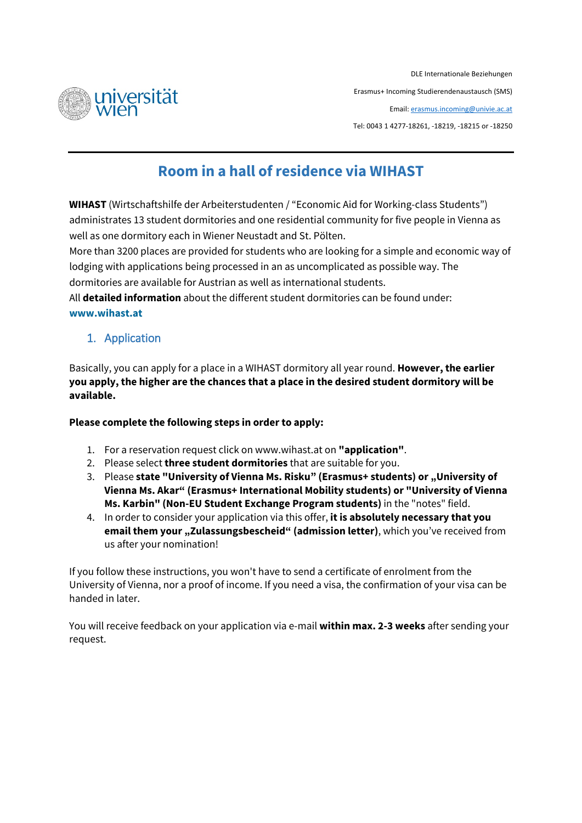

DLE Internationale Beziehungen Erasmus+ Incoming Studierendenaustausch (SMS) Email[: erasmus.incoming@univie.ac.at](mailto:erasmus.incoming@univie.ac.at) Tel: 0043 1 4277-18261, -18219, -18215 or -18250

# **Room in a hall of residence via WIHAST**

**WIHAST** (Wirtschaftshilfe der Arbeiterstudenten / "Economic Aid for Working-class Students") administrates 13 student dormitories and one residential community for five people in Vienna as well as one dormitory each in Wiener Neustadt and St. Pölten.

More than 3200 places are provided for students who are looking for a simple and economic way of lodging with applications being processed in an as uncomplicated as possible way. The dormitories are available for Austrian as well as international students.

All **detailed information** about the different student dormitories can be found under: **[www.wihast.at](http://www.wihast.at/)**

1. Application

Basically, you can apply for a place in a WIHAST dormitory all year round. **However, the earlier you apply, the higher are the chances that a place in the desired student dormitory will be available.** 

## **Please complete the following steps in order to apply:**

- 1. For a reservation request click on [www.wihast.at](http://www.wihast.at/) on **"application"**.
- 2. Please select **three student dormitories** that are suitable for you.
- 3. Please **state "University of Vienna Ms. Risku" (Erasmus+ students) or "University of Vienna Ms. Akar" (Erasmus+ International Mobility students) or "University of Vienna Ms. Karbin" (Non-EU Student Exchange Program students)** in the "notes" field.
- 4. In order to consider your application via this offer, **it is absolutely necessary that you email them your "Zulassungsbescheid" (admission letter)**, which you've received from us after your nomination!

If you follow these instructions, you won't have to send a certificate of enrolment from the University of Vienna, nor a proof of income. If you need a visa, the confirmation of your visa can be handed in later.

You will receive feedback on your application via e-mail **within max. 2-3 weeks** after sending your request.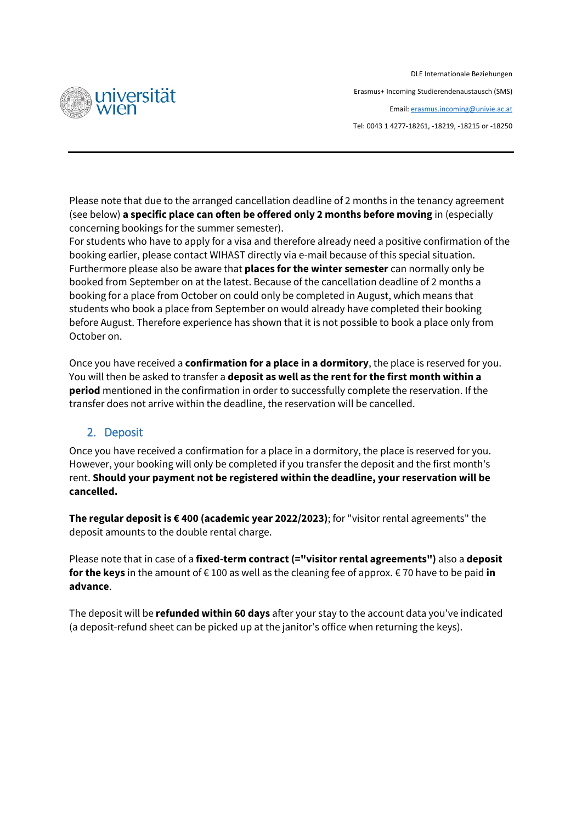

DLE Internationale Beziehungen Erasmus+ Incoming Studierendenaustausch (SMS) Email[: erasmus.incoming@univie.ac.at](mailto:erasmus.incoming@univie.ac.at) Tel: 0043 1 4277-18261, -18219, -18215 or -18250

Please note that due to the arranged cancellation deadline of 2 months in the tenancy agreement (see below) **a specific place can often be offered only 2 months before moving** in (especially concerning bookings for the summer semester).

For students who have to apply for a visa and therefore already need a positive confirmation of the booking earlier, please contact WIHAST directly via e-mail because of this special situation. Furthermore please also be aware that **places for the winter semester** can normally only be booked from September on at the latest. Because of the cancellation deadline of 2 months a booking for a place from October on could only be completed in August, which means that students who book a place from September on would already have completed their booking before August. Therefore experience has shown that it is not possible to book a place only from October on.

Once you have received a **confirmation for a place in a dormitory**, the place is reserved for you. You will then be asked to transfer a **deposit as well as the rent for the first month within a period** mentioned in the confirmation in order to successfully complete the reservation. If the transfer does not arrive within the deadline, the reservation will be cancelled.

## 2. Deposit

Once you have received a confirmation for a place in a dormitory, the place is reserved for you. However, your booking will only be completed if you transfer the deposit and the first month's rent. **Should your payment not be registered within the deadline, your reservation will be cancelled.**

**The regular deposit is € 400 (academic year 2022/2023)**; for "visitor rental agreements" the deposit amounts to the double rental charge.

Please note that in case of a **fixed-term contract (="visitor rental agreements")** also a **deposit for the keys** in the amount of € 100 as well as the cleaning fee of approx. € 70 have to be paid **in advance**.

The deposit will be **refunded within 60 days** after your stay to the account data you've indicated (a deposit-refund sheet can be picked up at the janitor's office when returning the keys).